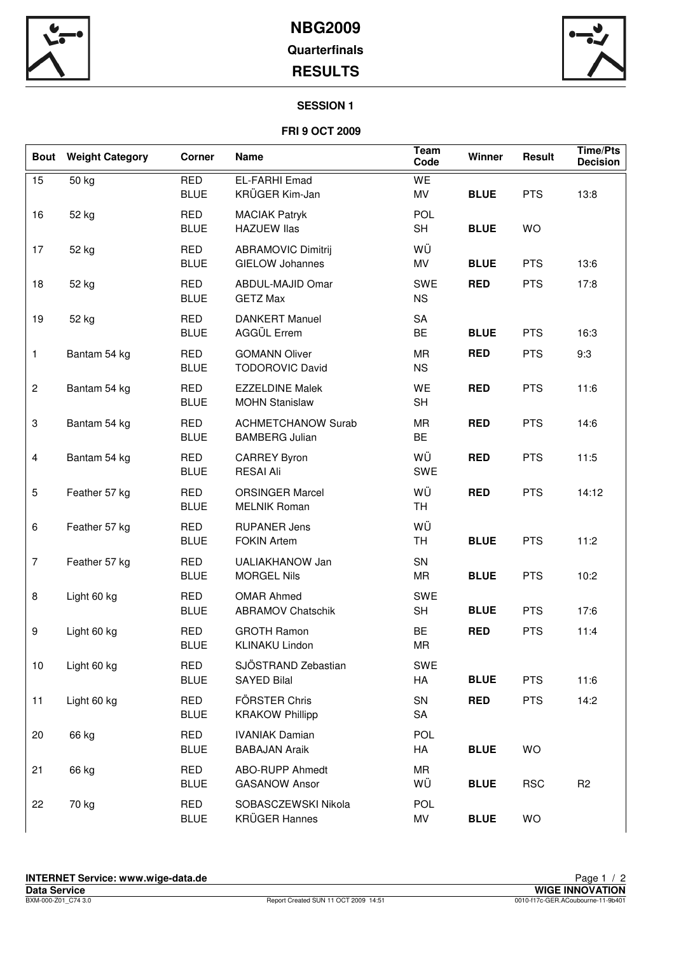

## **NBG2009 Quarterfinals RESULTS**



### **SESSION 1**

## **FRI 9 OCT 2009**

| <b>Bout</b>    | <b>Weight Category</b> | <b>Corner</b>             | <b>Name</b>                                         | Team<br>Code            | Winner      | Result     | <b>Time/Pts</b><br><b>Decision</b> |
|----------------|------------------------|---------------------------|-----------------------------------------------------|-------------------------|-------------|------------|------------------------------------|
| 15             | 50 kg                  | <b>RED</b><br><b>BLUE</b> | <b>EL-FARHI Emad</b><br>KRÜGER Kim-Jan              | WE<br>MV                | <b>BLUE</b> | <b>PTS</b> | 13:8                               |
| 16             | 52 kg                  | <b>RED</b><br><b>BLUE</b> | <b>MACIAK Patryk</b><br><b>HAZUEW Ilas</b>          | <b>POL</b><br><b>SH</b> | <b>BLUE</b> | <b>WO</b>  |                                    |
| 17             | 52 kg                  | <b>RED</b><br><b>BLUE</b> | <b>ABRAMOVIC Dimitrij</b><br><b>GIELOW Johannes</b> | WÜ<br>MV                | <b>BLUE</b> | <b>PTS</b> | 13:6                               |
| 18             | 52 kg                  | <b>RED</b><br><b>BLUE</b> | ABDUL-MAJID Omar<br><b>GETZ Max</b>                 | SWE<br><b>NS</b>        | <b>RED</b>  | <b>PTS</b> | 17:8                               |
| 19             | 52 kg                  | <b>RED</b><br><b>BLUE</b> | <b>DANKERT Manuel</b><br>AGGÜL Errem                | SA<br>BE                | <b>BLUE</b> | <b>PTS</b> | 16:3                               |
| $\mathbf{1}$   | Bantam 54 kg           | <b>RED</b><br><b>BLUE</b> | <b>GOMANN Oliver</b><br><b>TODOROVIC David</b>      | <b>MR</b><br><b>NS</b>  | <b>RED</b>  | <b>PTS</b> | 9:3                                |
| $\overline{c}$ | Bantam 54 kg           | <b>RED</b><br><b>BLUE</b> | <b>EZZELDINE Malek</b><br><b>MOHN Stanislaw</b>     | WE<br><b>SH</b>         | <b>RED</b>  | <b>PTS</b> | 11:6                               |
| 3              | Bantam 54 kg           | <b>RED</b><br><b>BLUE</b> | <b>ACHMETCHANOW Surab</b><br><b>BAMBERG Julian</b>  | MR<br><b>BE</b>         | <b>RED</b>  | <b>PTS</b> | 14:6                               |
| $\overline{4}$ | Bantam 54 kg           | <b>RED</b><br><b>BLUE</b> | <b>CARREY Byron</b><br><b>RESAI Ali</b>             | WÜ<br>SWE               | <b>RED</b>  | <b>PTS</b> | 11:5                               |
| 5              | Feather 57 kg          | <b>RED</b><br><b>BLUE</b> | <b>ORSINGER Marcel</b><br><b>MELNIK Roman</b>       | WÜ<br>TH                | <b>RED</b>  | <b>PTS</b> | 14:12                              |
| 6              | Feather 57 kg          | <b>RED</b><br><b>BLUE</b> | <b>RUPANER Jens</b><br><b>FOKIN Artem</b>           | WÜ<br>TH.               | <b>BLUE</b> | <b>PTS</b> | 11:2                               |
| $\overline{7}$ | Feather 57 kg          | <b>RED</b><br><b>BLUE</b> | UALIAKHANOW Jan<br><b>MORGEL Nils</b>               | SN<br>MR                | <b>BLUE</b> | <b>PTS</b> | 10:2                               |
| 8              | Light 60 kg            | <b>RED</b><br><b>BLUE</b> | <b>OMAR Ahmed</b><br><b>ABRAMOV Chatschik</b>       | SWE<br><b>SH</b>        | <b>BLUE</b> | <b>PTS</b> | 17:6                               |
| 9              | Light 60 kg            | <b>RED</b><br><b>BLUE</b> | <b>GROTH Ramon</b><br><b>KLINAKU Lindon</b>         | BE<br>MR                | <b>RED</b>  | <b>PTS</b> | 11:4                               |
| 10             | Light 60 kg            | <b>RED</b><br><b>BLUE</b> | SJÖSTRAND Zebastian<br><b>SAYED Bilal</b>           | SWE<br>HA               | <b>BLUE</b> | <b>PTS</b> | 11:6                               |
| 11             | Light 60 kg            | <b>RED</b><br><b>BLUE</b> | FÖRSTER Chris<br><b>KRAKOW Phillipp</b>             | SN<br>SA                | <b>RED</b>  | <b>PTS</b> | 14:2                               |
| 20             | 66 kg                  | <b>RED</b><br><b>BLUE</b> | <b>IVANIAK Damian</b><br><b>BABAJAN Araik</b>       | POL<br>HA               | <b>BLUE</b> | WO         |                                    |
| 21             | 66 kg                  | <b>RED</b><br><b>BLUE</b> | ABO-RUPP Ahmedt<br><b>GASANOW Ansor</b>             | <b>MR</b><br>WÜ         | <b>BLUE</b> | <b>RSC</b> | R <sub>2</sub>                     |
| 22             | 70 kg                  | <b>RED</b><br><b>BLUE</b> | SOBASCZEWSKI Nikola<br><b>KRÜGER Hannes</b>         | <b>POL</b><br>MV        | <b>BLUE</b> | WO         |                                    |
|                |                        |                           |                                                     |                         |             |            |                                    |